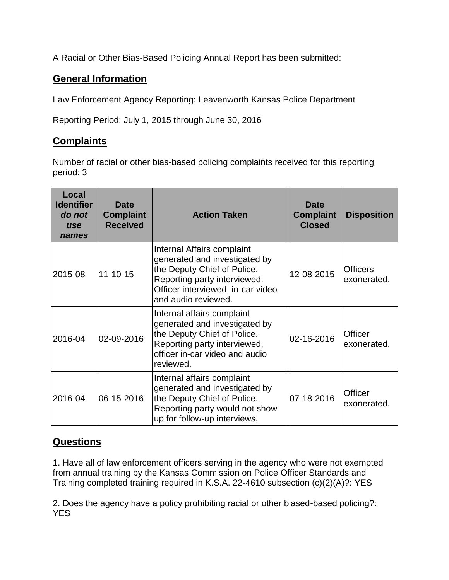A Racial or Other Bias-Based Policing Annual Report has been submitted:

## **General Information**

Law Enforcement Agency Reporting: Leavenworth Kansas Police Department

Reporting Period: July 1, 2015 through June 30, 2016

## **Complaints**

Number of racial or other bias-based policing complaints received for this reporting period: 3

| Local<br><b>Identifier</b><br>do not<br>use<br>names | <b>Date</b><br><b>Complaint</b><br><b>Received</b> | <b>Action Taken</b>                                                                                                                                                                    | <b>Date</b><br><b>Complaint</b><br><b>Closed</b> | <b>Disposition</b>             |
|------------------------------------------------------|----------------------------------------------------|----------------------------------------------------------------------------------------------------------------------------------------------------------------------------------------|--------------------------------------------------|--------------------------------|
| 2015-08                                              | $11 - 10 - 15$                                     | Internal Affairs complaint<br>generated and investigated by<br>the Deputy Chief of Police.<br>Reporting party interviewed.<br>Officer interviewed, in-car video<br>and audio reviewed. | 12-08-2015                                       | <b>Officers</b><br>exonerated. |
| 2016-04                                              | 02-09-2016                                         | Internal affairs complaint<br>generated and investigated by<br>the Deputy Chief of Police.<br>Reporting party interviewed,<br>officer in-car video and audio<br>reviewed.              | 02-16-2016                                       | <b>Officer</b><br>exonerated.  |
| 2016-04                                              | 06-15-2016                                         | Internal affairs complaint<br>generated and investigated by<br>the Deputy Chief of Police.<br>Reporting party would not show<br>up for follow-up interviews.                           | 07-18-2016                                       | Officer<br>exonerated.         |

## **Questions**

1. Have all of law enforcement officers serving in the agency who were not exempted from annual training by the Kansas Commission on Police Officer Standards and Training completed training required in K.S.A. 22-4610 subsection (c)(2)(A)?: YES

2. Does the agency have a policy prohibiting racial or other biased-based policing?: **YES**